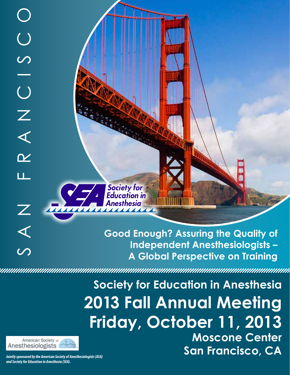**Good Enough? Assuring the Quality of Independent Anesthesiologists – A Global Perspective on Training**

Society for<br>Education in

Anesthesia

<u> AAAAAAAAAAAAA</u>

**Society for Education in Anesthesia 2013 Fall Annual Meeting Friday, October 11, 2013 Moscone Center San Francisco, CA**



SAN FRANCISCO

 $\blacktriangleleft$ 

 $\overline{\mathsf{C}}$ 

ய

 $\mathbb Z$ 

 $\triangleleft$ 

 $\overline{\mathcal{O}}$ 

 $\overline{Z}$ 

 $\bigcup$ 

 $\overline{\mathcal{C}}$ 

 $\overline{\bigcup}$ 

*Jointly sponsored by the American Society of Anesthesiologists (ASA) and Society for Education in Anesthesia (SEA).*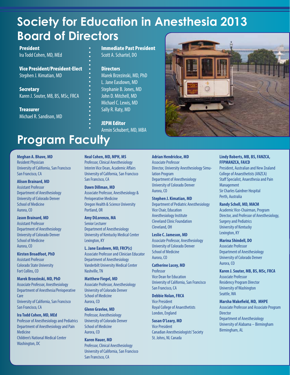## **Society for Education in Anesthesia 2013 Board of Directors**

**President** Ira Todd Cohen, MD, MEd

Vice President/President-Elect Stephen J. Kimatian, MD

**Secretary** Karen J. Souter, MB, BS, MSc, FRCA

**Treasurer** Michael R. Sandison, MD Immediate Past President Scott A. Schartel, DO

#### **Directors**

Marek Brzezinski, MD, PhD L. Jane Easdown, MD Stephanie B. Jones, MD John D. Mitchell, MD Michael C. Lewis, MD Sally R. Raty, MD

JEPM Editor Armin Schubert, MD, MBA

## **Program Faculty**

**Meghan A. Bhave, MD** Resident Physician University of California, San Francisco San Francisco, CA

**Alison Brainard, MD** Assistant Professor Department of Anesthesiology University of Colorado Denver School of Medicine Aurora, CO

**Jason Brainard, MD** Assistant Professor Department of Anesthesiology University of Colorado Denver School of Medicine Aurora, CO

**Kirsten Broadfoot, PhD** Assistant Professor Colorado State University Fort Collins, CO

**Marek Brzezinski, MD, PhD** Associate Professor, Anesthesiology Department of Anesthesia/Perioperative **Care** University of California, San Francisco San Francisco, CA

**Ira Todd Cohen, MD, MEd** Professor of Anesthesiology and Pediatrics Department of Anesthesiology and Pain Medicine Children's National Medical Center Washington, DC

**Neal Cohen, MD, MPH, MS**

Professor, Clinical Anesthesiology Interim Vice Dean, Academic Affairs University of California, San Francisco San Francisco, CA

**Dawn Dillman, MD** Associate Professor, Anesthesiology & Perioperative Medicine Oregon Health & Science University Portland, OR

**Amy DiLorenzo, MA** Senior Lecturer Department of Anesthesiology University of Kentucky Medical Center

Lexington, KY **L. Jane Easdown, MD, FRCP(c)** Associate Professor and Clinician Educator Department of Anesthesiology Vanderbilt University Medical Center Nashville, TN

**Matthew Fiegel, MD** Associate Professor, Anesthesiology University of Colorado Denver School of Medicine Aurora, CO

**Glenn Gravlee, MD** Professor, Anesthesiology University of Colorado Denver School of Medicine Aurora, CO

**Karen Hauer, MD** Professor, Clinical Anesthesiology University of California, San Francisco San Francisco, CA

#### **Adrian Hendrickse, MD**

Associate Professor Director, University Anesthesiology Simulation Program Department of Anesthesiology University of Colorado Denver Aurora, CO

**Stephen J. Kimatian, MD** Department of Pediatric Anesthesiology Vice Chair, Education Anesthesiology Institute Cleveland Clinic Foundation Cleveland, OH

**Leslie C. Jameson, MD** Associate Professor, Anesthesiology University of Colorado Denver School of Medicine Aurora, CO

**Catherine Lucey, MD** Professor Vice Dean for Education University of California, San Francisco San Francisco, CA

**Debbie Nolan, FRCA** Vice President Royal College of Anaesthetists London, England

**Susan O'Leary, MD** Vice President Canadian Anesthesiologists' Society St. Johns, NL Canada

#### **Lindy Roberts, MB, BS, FANZCA, FFPMANZCA, FAICD**

President, Australian and New Zealand College of Anaesthetists (ANZCA) Staff Specialist, Anaesthesia and Pain **Management** Sir Charles Gairdner Hospital Perth, Australia

**Randy Schell, MD, MACM**

Academic Vice-Chairman, Program Director, and Professor of Anesthesiology, Surgery and Pediatrics University of Kentucky Lexington, KY

**Marina Shindell, DO**

Associate Professor Department of Anesthesiology University of Colorado Denver Aurora, CO

**Karen J. Souter, MB, BS, MSc, FRCA** Associate Professor Residency Program Director University of Washington Seattle, WA

**Marsha Wakefield, MD, MHPE** Associate Professor and Associate Program **Director** Department of Anesthesiology University of Alabama – Birmingham Birmingham, AL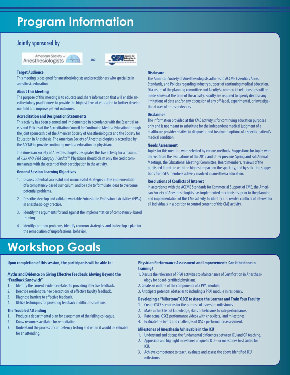## **Program Information**

### Jointly sponsored by





#### **Target Audience**

This meeting is designed for anesthesiologists and practitioners who specialize in anesthesia education.

#### **About This Meeting**

The purpose of this meeting is to educate and share information that will enable anesthesiology practitioners to provide the highest level of education to further develop our field and improve patient outcomes.

#### **Accreditation and Designation Statements**

This activity has been planned and implemented in accordance with the Essential Areas and Policies of the Accreditation Council for Continuing Medical Education through the joint sponsorship of the American Society of Anesthesiologists and the Society for Education in Anesthesia. The American Society of Anesthesiologists is accredited by the ACCME to provide continuing medical education for physicians.

The American Society of Anesthesiologists designates this live activity for a maximum of *7.25 AMA PRA Category 1 Credits™*. Physicians should claim only the credit commensurate with the extent of their participation in the activity.

#### **General Session Learning Objectives**

- 1. Discuss potential successful and unsuccessful strategies in the implementation of a competency-based curriculum, and be able to formulate ideas to overcome potential problems.
- 2. Describe, develop and validate workable Entrustable Professional Activities (EPAs) in anesthesiology practice.
- 3. Identify the arguments for and against the implementation of competency- based training.
- 4. Identify common problems, identify common strategies, and to develop a plan for the remediation of unprofessional behavior.

### **Workshop Goals**

#### **Upon completion of this session, the participants will be able to:**

#### **Myths and Evidence on Giving Effective Feedback: Moving Beyond the "Feedback Sandwich"**

- 1. Identify the current evidence related to providing effective feedback.
- 2. Describe resident trainee perceptions of effective faculty feedback.
- 3. Diagnose barriers to effective feedback.
- 4. Utilize techniques for providing feedback in difficult situations.

#### **The Troubled Attending**

- 1. Produce a departmental plan for assessment of the failing colleague.
- 2. Know resources available for remediation.
- 3. Understand the process of competency testing and when it would be valuable for an attending.

#### **Disclosure**

The American Society of Anesthesiologists adheres to ACCME Essentials Areas, Standards, and Policies regarding industry support of continuing medical education. Disclosure of the planning committee and faculty's commercial relationships will be made known at the time of the activity. Faculty are required to openly disclose any limitations of data and/or any discussion of any off-label, experimental, or investigational uses of drugs or devices.

#### **Disclaimer**

The information provided at this CME activity is for continuing education purposes only and is not meant to substitute for the independent medical judgment of a healthcare provider relative to diagnostic and treatment options of a specific patient's medical condition.

#### **Needs Assessment**

Topics for this meeting were selected by various methods. Suggestions for topics were derived from the evaluations of the 2012 and other previous Spring and Fall Annual Meetings, the Educational Meetings Committee, Board members, reviews of the published literature with the highest impact on the specialty, and by soliciting suggestions from SEA members actively involved in anesthesia education.

#### **Resolutions of Conflicts of Interest**

In accordance with the ACCME Standards for Commercial Support of CME, the American Society of Anesthesiologists has implemented mechanisms, prior to the planning and implementation of this CME activity, to identify and resolve conflicts of interest for all individuals in a position to control content of this CME activity.

#### **Physician Performance Assessment and Improvement: Can it be done in training?**

- 1. Discuss the relevance of PPAI activities to Maintenance of Certification in Anesthesiology for board-certified physicians.
- 2. Create an outline of the components of a PPAI module.
- 3. Anticipate potential obstacles to including a PPAI module in residency.

#### **Developing a "Milestone" OSCE to Assess the Learner and Train Your Faculty**

- 1. Create OSCE scenarios for the purpose of assessing milestones.
- 2. Make a check list of knowledge, skills or behaviors to rate performance.
- 3. Rate actual OSCE performance videos with checklists, and milestones.
- 4. Evaluate the befits and challenges of OSCE performance assessment.

#### **Milestones of Anesthesia Achievable in the ICU**

- 1. Understand and discuss the fundamental differences between ICU and OR teaching.
- 2. Appreciate and highlight milestones unique to ICU or milestones best suited for ICU.
- 3. Achieve competence to teach, evaluate and assess the above identified ICU milestones.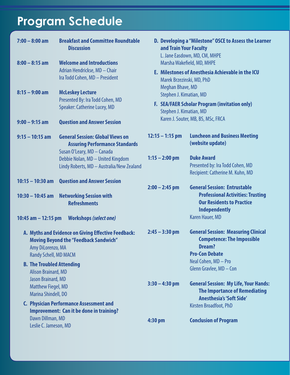# **Program Schedule**

| $7:00 - 8:00$ am<br>$8:00 - 8:15$ am<br>$8:15 - 9:00$ am                                                                                                                                     | <b>Breakfast and Committee Roundtable</b><br><b>Discussion</b><br><b>Welcome and Introductions</b><br>Adrian Hendrickse, MD - Chair<br>Ira Todd Cohen, MD - President<br><b>McLeskey Lecture</b><br>Presented By: Ira Todd Cohen, MD<br><b>Speaker: Catherine Lucey, MD</b> | and Train Your Faculty<br>Marek Brzezinski, MD, PhD<br><b>Meghan Bhave, MD</b><br>Stephen J. Kimatian, MD<br>Stephen J. Kimatian, MD | D. Developing a "Milestone" OSCE to Assess the Learner<br>L. Jane Easdown, MD, CM, MHPE<br>Marsha Wakefield, MD, MHPE<br>E. Milestones of Anesthesia Achievable in the ICU<br><b>F. SEA/FAER Scholar Program (invitation only)</b><br>Karen J. Souter, MB, BS, MSc, FRCA |  |
|----------------------------------------------------------------------------------------------------------------------------------------------------------------------------------------------|-----------------------------------------------------------------------------------------------------------------------------------------------------------------------------------------------------------------------------------------------------------------------------|--------------------------------------------------------------------------------------------------------------------------------------|--------------------------------------------------------------------------------------------------------------------------------------------------------------------------------------------------------------------------------------------------------------------------|--|
| $9:00 - 9:15$ am                                                                                                                                                                             | <b>Question and Answer Session</b>                                                                                                                                                                                                                                          |                                                                                                                                      |                                                                                                                                                                                                                                                                          |  |
| $9:15 - 10:15$ am                                                                                                                                                                            | <b>General Session: Global Views on</b><br><b>Assuring Performance Standards</b><br>Susan O'Leary, MD - Canada                                                                                                                                                              | $12:15 - 1:15$ pm                                                                                                                    | <b>Luncheon and Business Meeting</b><br>(website update)                                                                                                                                                                                                                 |  |
|                                                                                                                                                                                              | Debbie Nolan, MD - United Kingdom<br>Lindy Roberts, MD - Australia/New Zealand                                                                                                                                                                                              | $1:15 - 2:00$ pm                                                                                                                     | <b>Duke Award</b><br>Presented by: Ira Todd Cohen, MD<br>Recipient: Catherine M. Kuhn, MD                                                                                                                                                                                |  |
| $10:15 - 10:30$ am                                                                                                                                                                           | <b>Question and Answer Session</b>                                                                                                                                                                                                                                          |                                                                                                                                      |                                                                                                                                                                                                                                                                          |  |
| $10:30 - 10:45$ am                                                                                                                                                                           | <b>Networking Session with</b><br><b>Refreshments</b>                                                                                                                                                                                                                       | $2:00 - 2:45$ pm                                                                                                                     | <b>General Session: Entrustable</b><br><b>Professional Activities: Trusting</b><br><b>Our Residents to Practice</b><br><b>Independently</b>                                                                                                                              |  |
| <b>Workshops (select one)</b><br>10:45 am $-$ 12:15 pm                                                                                                                                       |                                                                                                                                                                                                                                                                             |                                                                                                                                      | Karen Hauer, MD                                                                                                                                                                                                                                                          |  |
| A. Myths and Evidence on Giving Effective Feedback:<br><b>Moving Beyond the "Feedback Sandwich"</b><br>Amy DiLorenzo, MA<br><b>Randy Schell, MD MACM</b><br><b>B. The Troubled Attending</b> |                                                                                                                                                                                                                                                                             | $2:45 - 3:30$ pm                                                                                                                     | <b>General Session: Measuring Clinical</b><br><b>Competence: The Impossible</b><br>Dream?<br><b>Pro-Con Debate</b><br>Neal Cohen, MD - Pro                                                                                                                               |  |
| <b>Alison Brainard, MD</b><br>Jason Brainard, MD                                                                                                                                             |                                                                                                                                                                                                                                                                             | $3:30 - 4:30$ pm                                                                                                                     | Glenn Gravlee, MD - Con<br><b>General Session: My Life, Your Hands:</b>                                                                                                                                                                                                  |  |
| <b>Matthew Fiegel, MD</b><br>Marina Shindell, DO                                                                                                                                             |                                                                                                                                                                                                                                                                             |                                                                                                                                      | <b>The Importance of Remediating</b><br><b>Anesthesia's 'Soft Side'</b>                                                                                                                                                                                                  |  |
|                                                                                                                                                                                              | <b>C. Physician Performance Assessment and</b><br><b>Improvement: Can it be done in training?</b>                                                                                                                                                                           |                                                                                                                                      | Kirsten Broadfoot, PhD                                                                                                                                                                                                                                                   |  |
| Dawn Dillman, MD<br>Leslie C. Jameson, MD                                                                                                                                                    |                                                                                                                                                                                                                                                                             | 4:30 pm                                                                                                                              | <b>Conclusion of Program</b>                                                                                                                                                                                                                                             |  |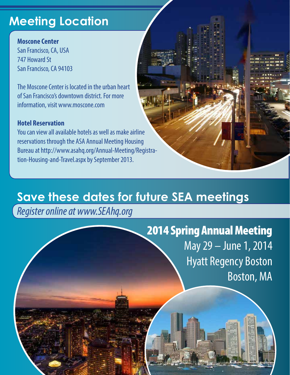## **Meeting Location**

**Moscone Center** San Francisco, CA, USA 747 Howard St San Francisco, CA 94103

The Moscone Center is located in the urban heart of San Francisco's downtown district. For more information, visit www.moscone.com

### **Hotel Reservation**

You can view all available hotels as well as make airline reservations through the ASA Annual Meeting Housing Bureau at http://www.asahq.org/Annual-Meeting/Registration-Housing-and-Travel.aspx by September 2013.

## **Save these dates for future SEA meetings**

*Register online at www.SEAhq.org* 

2014 Spring Annual Meeting May 29 – June 1, 2014 Hyatt Regency Boston Boston, MA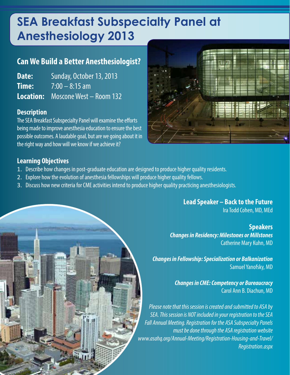## **SEA Breakfast Subspecialty Panel at Anesthesiology 2013**

### **Can We Build a Better Anesthesiologist?**

**Date:** Sunday, October 13, 2013 **Time:** 7:00 – 8:15 am **Location:** Moscone West – Room 132

### **Description**

The SEA Breakfast Subspecialty Panel will examine the efforts being made to improve anesthesia education to ensure the best possible outcomes. A laudable goal, but are we going about it in the right way and how will we know if we achieve it?



### **Learning Objectives**

- 1. Describe how changes in post-graduate education are designed to produce higher quality residents.
- 2. Explore how the evolution of anesthesia fellowships will produce higher quality fellows.
- 3. Discuss how new criteria for CME activities intend to produce higher quality practicing anesthesiologists.

### **Lead Speaker – Back to the Future**

Ira Todd Cohen, MD, MEd

### **Speakers**

*Changes in Residency: Milestones or Millstones* Catherine Mary Kuhn, MD

*Changes in Fellowship: Specialization or Balkanization* Samuel Yanofsky, MD

> *Changes in CME: Competency or Bureaucracy* Carol Ann B. Diachun, MD

*Please note that this session is created and submitted to ASA by SEA. This session is NOT included in your registration to the SEA Fall Annual Meeting. Registration for the ASA Subspecialty Panels must be done through the ASA registration website www.asahq.org/Annual-Meeting/Registration-Housing-and-Travel/ Registration.aspx*